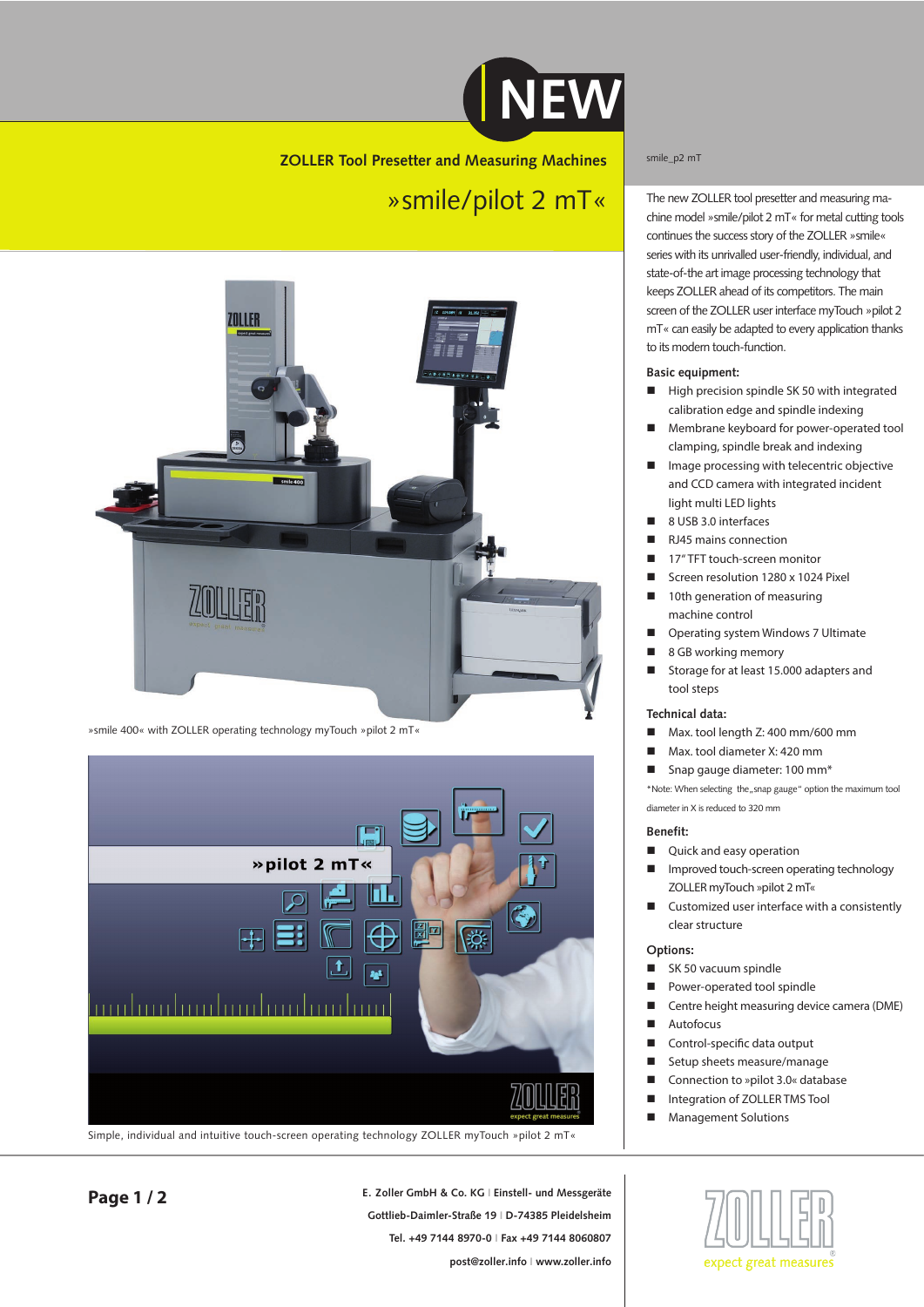

# **ZOLLER Tool Presetter and Measuring Machines**

# »smile/pilot 2 mT«



»smile 400« with ZOLLER operating technology myTouch »pilot 2 mT«



Simple, individual and intuitive touch-screen operating technology ZOLLER myTouch »pilot 2 mT«

### smile\_p2 mT

The new ZOLLER tool presetter and measuring machine model »smile/pilot 2 mT« for metal cutting tools continues the success story of the ZOLLER »smile« series with its unrivalled user-friendly, individual, and state-of-the art image processing technology that keeps ZOLLER ahead of its competitors. The main screen of the ZOLLER user interface myTouch »pilot 2 mT« can easily be adapted to every application thanks to its modern touch-function.

#### **Basic equipment:**

- High precision spindle SK 50 with integrated calibration edge and spindle indexing
- **Membrane keyboard for power-operated tool** clamping, spindle break and indexing
- **Image processing with telecentric objective** and CCD camera with integrated incident light multi LED lights
- 8 USB 3.0 interfaces
- RJ45 mains connection
- 17" TFT touch-screen monitor
- Screen resolution 1280 x 1024 Pixel
- 10th generation of measuring machine control
- Operating system Windows 7 Ultimate
- 8 GB working memory
- Storage for at least 15.000 adapters and tool steps

### **Technical data:**

- Max. tool length Z: 400 mm/600 mm
- Max. tool diameter X: 420 mm
- Snap gauge diameter: 100 mm<sup>\*</sup>

\*Note: When selecting the "snap gauge" option the maximum tool diameter in X is reduced to 320 mm

### **Benefit:**

- Quick and easy operation
- **IMP** Improved touch-screen operating technology ZOLLER myTouch »pilot 2 mT«
- Customized user interface with a consistently clear structure

## **Options:**

- SK 50 vacuum spindle
- **Power-operated tool spindle**
- Centre height measuring device camera (DME)
- Autofocus
- Control-specific data output
- Setup sheets measure/manage
- Connection to »pilot 3.0« database
- Integration of ZOLLER TMS Tool
- **Management Solutions**



**E. Zoller GmbH & Co. KG I Einstell- und Messgeräte Gottlieb-Daimler-Straße 19 I D-74385 Pleidelsheim Tel. +49 7144 8970-0 I Fax +49 7144 8060807 post@zoller.info I www.zoller.info**